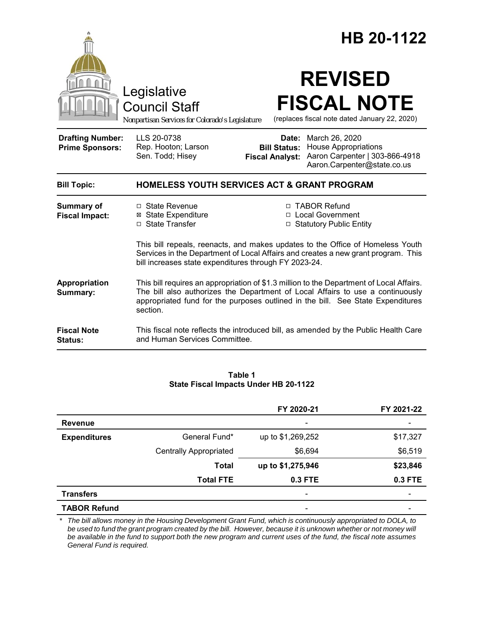|                                                   |                                                                                                                                                                                                                                                                           |                                               | HB 20-1122                                                                                                           |
|---------------------------------------------------|---------------------------------------------------------------------------------------------------------------------------------------------------------------------------------------------------------------------------------------------------------------------------|-----------------------------------------------|----------------------------------------------------------------------------------------------------------------------|
|                                                   | Legislative<br><b>Council Staff</b><br>Nonpartisan Services for Colorado's Legislature                                                                                                                                                                                    |                                               | <b>REVISED</b><br><b>FISCAL NOTE</b><br>(replaces fiscal note dated January 22, 2020)                                |
| <b>Drafting Number:</b><br><b>Prime Sponsors:</b> | LLS 20-0738<br>Rep. Hooton; Larson<br>Sen. Todd; Hisey                                                                                                                                                                                                                    | <b>Bill Status:</b><br><b>Fiscal Analyst:</b> | Date: March 26, 2020<br><b>House Appropriations</b><br>Aaron Carpenter   303-866-4918<br>Aaron.Carpenter@state.co.us |
| <b>Bill Topic:</b>                                | <b>HOMELESS YOUTH SERVICES ACT &amp; GRANT PROGRAM</b>                                                                                                                                                                                                                    |                                               |                                                                                                                      |
| <b>Summary of</b><br><b>Fiscal Impact:</b>        | □ State Revenue<br><b>⊠</b> State Expenditure<br>□ State Transfer                                                                                                                                                                                                         |                                               | □ TABOR Refund<br>□ Local Government<br>□ Statutory Public Entity                                                    |
|                                                   | This bill repeals, reenacts, and makes updates to the Office of Homeless Youth<br>Services in the Department of Local Affairs and creates a new grant program. This<br>bill increases state expenditures through FY 2023-24.                                              |                                               |                                                                                                                      |
| Appropriation<br>Summary:                         | This bill requires an appropriation of \$1.3 million to the Department of Local Affairs.<br>The bill also authorizes the Department of Local Affairs to use a continuously<br>appropriated fund for the purposes outlined in the bill. See State Expenditures<br>section. |                                               |                                                                                                                      |
| <b>Fiscal Note</b><br>Status:                     | This fiscal note reflects the introduced bill, as amended by the Public Health Care<br>and Human Services Committee.                                                                                                                                                      |                                               |                                                                                                                      |

#### **Table 1 State Fiscal Impacts Under HB 20-1122**

|                     |                               | FY 2020-21               | FY 2021-22                   |
|---------------------|-------------------------------|--------------------------|------------------------------|
| <b>Revenue</b>      |                               | $\overline{\phantom{a}}$ | $\qquad \qquad \blacksquare$ |
| <b>Expenditures</b> | General Fund*                 | up to \$1,269,252        | \$17,327                     |
|                     | <b>Centrally Appropriated</b> | \$6,694                  | \$6,519                      |
|                     | <b>Total</b>                  | up to \$1,275,946        | \$23,846                     |
|                     | <b>Total FTE</b>              | 0.3 FTE                  | 0.3 FTE                      |
| <b>Transfers</b>    |                               |                          |                              |
| <b>TABOR Refund</b> |                               | -                        |                              |

\* The bill allows money in the Housing Development Grant Fund, which is continuously appropriated to DOLA, to *be used to fund the grant program created by the bill. However, because it is unknown whether or not money will be available in the fund to support both the new program and current uses of the fund, the fiscal note assumes General Fund is required.*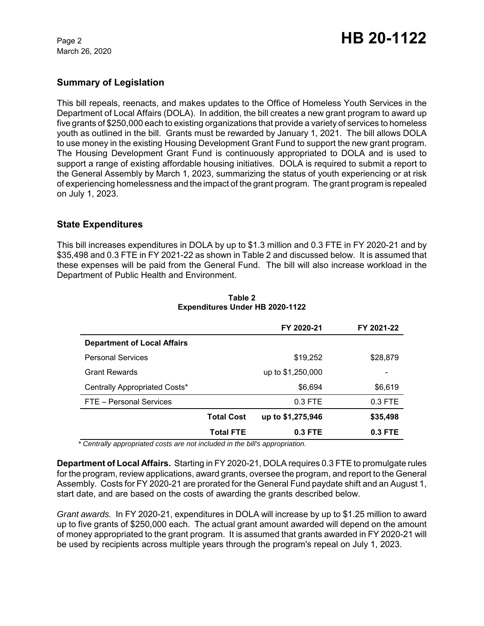March 26, 2020

# **Summary of Legislation**

This bill repeals, reenacts, and makes updates to the Office of Homeless Youth Services in the Department of Local Affairs (DOLA). In addition, the bill creates a new grant program to award up five grants of \$250,000 each to existing organizations that provide a variety of services to homeless youth as outlined in the bill. Grants must be rewarded by January 1, 2021. The bill allows DOLA to use money in the existing Housing Development Grant Fund to support the new grant program. The Housing Development Grant Fund is continuously appropriated to DOLA and is used to support a range of existing affordable housing initiatives. DOLA is required to submit a report to the General Assembly by March 1, 2023, summarizing the status of youth experiencing or at risk of experiencing homelessness and the impact of the grant program. The grant program is repealed on July 1, 2023.

# **State Expenditures**

This bill increases expenditures in DOLA by up to \$1.3 million and 0.3 FTE in FY 2020-21 and by \$35,498 and 0.3 FTE in FY 2021-22 as shown in Table 2 and discussed below. It is assumed that these expenses will be paid from the General Fund. The bill will also increase workload in the Department of Public Health and Environment.

|                                    |                   | FY 2020-21        | FY 2021-22               |
|------------------------------------|-------------------|-------------------|--------------------------|
| <b>Department of Local Affairs</b> |                   |                   |                          |
| <b>Personal Services</b>           |                   | \$19,252          | \$28,879                 |
| <b>Grant Rewards</b>               |                   | up to \$1,250,000 | $\overline{\phantom{a}}$ |
| Centrally Appropriated Costs*      |                   | \$6,694           | \$6,619                  |
| FTE - Personal Services            |                   | $0.3$ FTE         | $0.3$ FTE                |
|                                    | <b>Total Cost</b> | up to \$1,275,946 | \$35,498                 |
|                                    | <b>Total FTE</b>  | 0.3 FTE           | $0.3$ FTE                |

#### **Table 2 Expenditures Under HB 2020-1122**

*\* Centrally appropriated costs are not included in the bill's appropriation.*

**Department of Local Affairs.** Starting in FY 2020-21, DOLA requires 0.3 FTE to promulgate rules for the program, review applications, award grants, oversee the program, and report to the General Assembly. Costs for FY 2020-21 are prorated for the General Fund paydate shift and an August 1, start date, and are based on the costs of awarding the grants described below.

*Grant awards.*In FY 2020-21, expenditures in DOLA will increase by up to \$1.25 million to award up to five grants of \$250,000 each. The actual grant amount awarded will depend on the amount of money appropriated to the grant program. It is assumed that grants awarded in FY 2020-21 will be used by recipients across multiple years through the program's repeal on July 1, 2023.